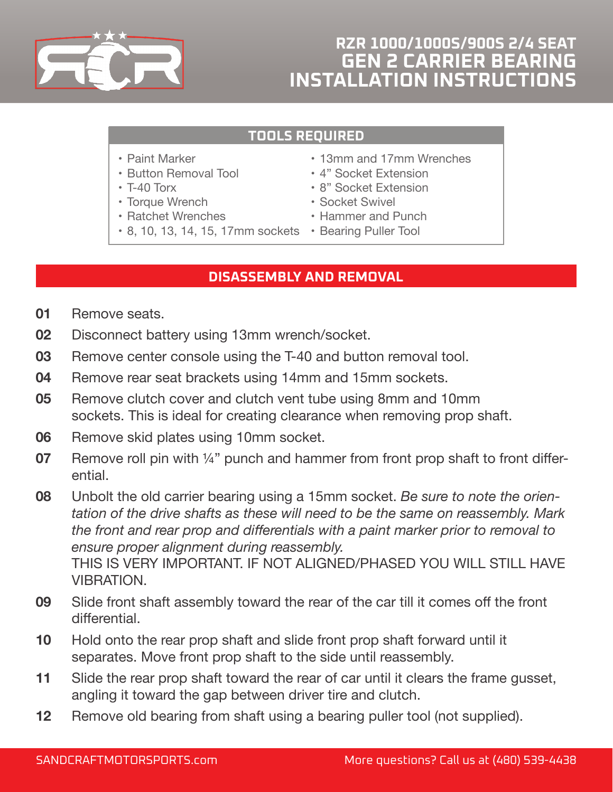

## **RZR 1000/1000S/900S 2/4 SEAT GEN 2 CARRIER BEARING INSTALLATION INSTRUCTIONS**

## **TOOLS REQUIRED**

- Paint Marker
- Button Removal Tool
- T-40 Torx
- Torque Wrench
- Ratchet Wrenches
- 8, 10, 13, 14, 15, 17mm sockets Bearing Puller Tool
- 13mm and 17mm Wrenches
- 4" Socket Extension
- 8" Socket Extension
- Socket Swivel
- Hammer and Punch
	-

## **DISASSEMBLY AND REMOVAL**

- **01** Remove seats.
- **02** Disconnect battery using 13mm wrench/socket.
- **03** Remove center console using the T-40 and button removal tool.
- **04** Remove rear seat brackets using 14mm and 15mm sockets.
- **05** Remove clutch cover and clutch vent tube using 8mm and 10mm sockets. This is ideal for creating clearance when removing prop shaft.
- **06** Remove skid plates using 10mm socket.
- **07** Remove roll pin with 1/4" punch and hammer from front prop shaft to front differential.

**08** Unbolt the old carrier bearing using a 15mm socket. *Be sure to note the orientation of the drive shafts as these will need to be the same on reassembly. Mark the front and rear prop and differentials with a paint marker prior to removal to ensure proper alignment during reassembly.* THIS IS VERY IMPORTANT. IF NOT ALIGNED/PHASED YOU WILL STILL HAVE VIBRATION.

- **09** Slide front shaft assembly toward the rear of the car till it comes off the front differential.
- **10** Hold onto the rear prop shaft and slide front prop shaft forward until it separates. Move front prop shaft to the side until reassembly.
- **11** Slide the rear prop shaft toward the rear of car until it clears the frame gusset, angling it toward the gap between driver tire and clutch.
- **12** Remove old bearing from shaft using a bearing puller tool (not supplied).